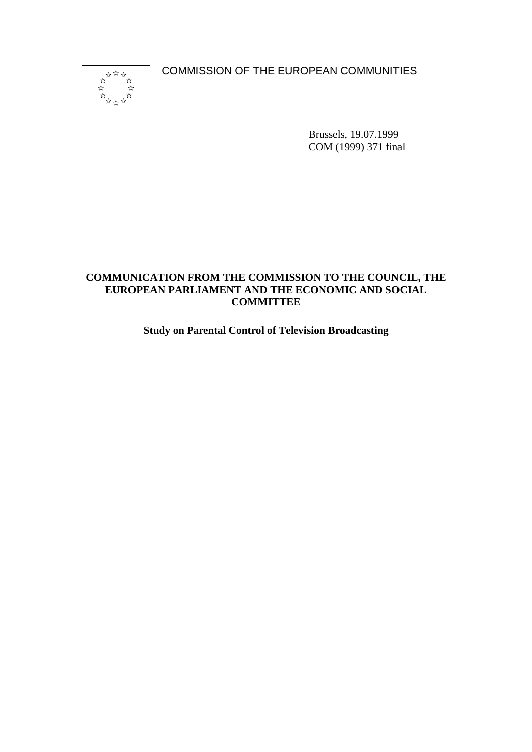COMMISSION OF THE EUROPEAN COMMUNITIES



Brussels, 19.07.1999 COM (1999) 371 final

# **COMMUNICATION FROM THE COMMISSION TO THE COUNCIL, THE EUROPEAN PARLIAMENT AND THE ECONOMIC AND SOCIAL COMMITTEE**

# **Study on Parental Control of Television Broadcasting**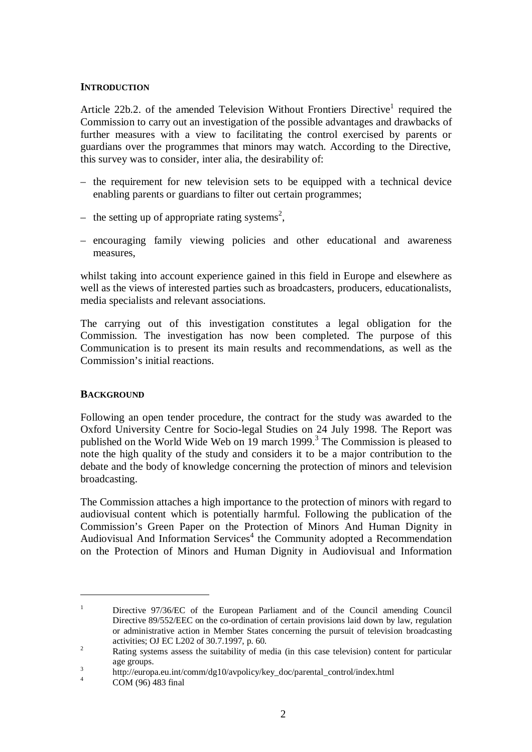### **INTRODUCTION**

Article 22b.2. of the amended Television Without Frontiers Directive<sup>1</sup> required the Commission to carry out an investigation of the possible advantages and drawbacks of further measures with a view to facilitating the control exercised by parents or guardians over the programmes that minors may watch. According to the Directive, this survey was to consider, inter alia, the desirability of:

- the requirement for new television sets to be equipped with a technical device enabling parents or guardians to filter out certain programmes;
- the setting up of appropriate rating systems<sup>2</sup>,
- encouraging family viewing policies and other educational and awareness measures,

whilst taking into account experience gained in this field in Europe and elsewhere as well as the views of interested parties such as broadcasters, producers, educationalists, media specialists and relevant associations.

The carrying out of this investigation constitutes a legal obligation for the Commission. The investigation has now been completed. The purpose of this Communication is to present its main results and recommendations, as well as the Commission's initial reactions.

### **BACKGROUND**

Following an open tender procedure, the contract for the study was awarded to the Oxford University Centre for Socio-legal Studies on 24 July 1998. The Report was published on the World Wide Web on 19 march 1999.<sup>3</sup> The Commission is pleased to note the high quality of the study and considers it to be a major contribution to the debate and the body of knowledge concerning the protection of minors and television broadcasting.

The Commission attaches a high importance to the protection of minors with regard to audiovisual content which is potentially harmful. Following the publication of the Commission's Green Paper on the Protection of Minors And Human Dignity in Audiovisual And Information Services<sup>4</sup> the Community adopted a Recommendation on the Protection of Minors and Human Dignity in Audiovisual and Information

<sup>&</sup>lt;sup>1</sup> Directive 97/36/EC of the European Parliament and of the Council amending Council Directive 89/552/EEC on the co-ordination of certain provisions laid down by law, regulation or administrative action in Member States concerning the pursuit of television broadcasting activities; OJ EC L202 of 30.7.1997, p. 60.<br>Rating systems assess the suitability of media (in this case television) content for particular

age groups.<br>
3 http://europa.eu.int/comm/dg10/avpolicy/key\_doc/parental\_control/index.html<br>
4 COM (96) 483 final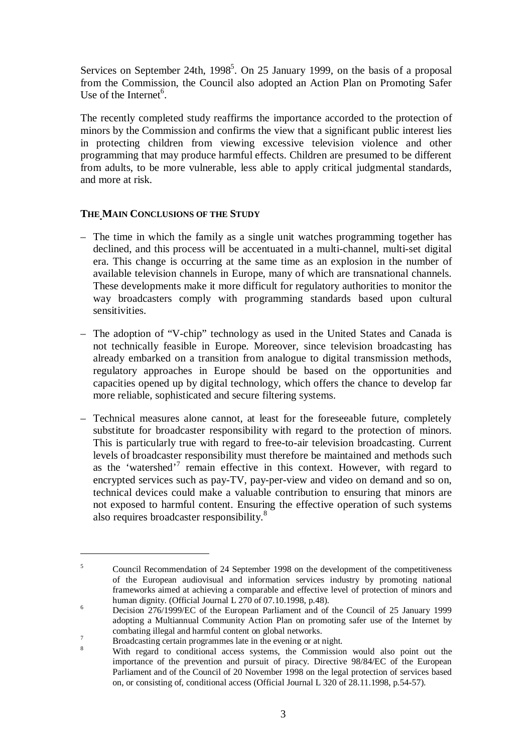Services on September 24th, 1998<sup>5</sup>. On 25 January 1999, on the basis of a proposal from the Commission, the Council also adopted an Action Plan on Promoting Safer Use of the Internet<sup>6</sup>.

The recently completed study reaffirms the importance accorded to the protection of minors by the Commission and confirms the view that a significant public interest lies in protecting children from viewing excessive television violence and other programming that may produce harmful effects. Children are presumed to be different from adults, to be more vulnerable, less able to apply critical judgmental standards, and more at risk.

## **THE MAIN CONCLUSIONS OF THE STUDY**

- The time in which the family as a single unit watches programming together has declined, and this process will be accentuated in a multi-channel, multi-set digital era. This change is occurring at the same time as an explosion in the number of available television channels in Europe, many of which are transnational channels. These developments make it more difficult for regulatory authorities to monitor the way broadcasters comply with programming standards based upon cultural sensitivities.
- The adoption of "V-chip" technology as used in the United States and Canada is not technically feasible in Europe. Moreover, since television broadcasting has already embarked on a transition from analogue to digital transmission methods, regulatory approaches in Europe should be based on the opportunities and capacities opened up by digital technology, which offers the chance to develop far more reliable, sophisticated and secure filtering systems.
- Technical measures alone cannot, at least for the foreseeable future, completely substitute for broadcaster responsibility with regard to the protection of minors. This is particularly true with regard to free-to-air television broadcasting. Current levels of broadcaster responsibility must therefore be maintained and methods such as the 'watershed'<sup>7</sup> remain effective in this context. However, with regard to encrypted services such as pay-TV, pay-per-view and video on demand and so on, technical devices could make a valuable contribution to ensuring that minors are not exposed to harmful content. Ensuring the effective operation of such systems also requires broadcaster responsibility.<sup>8</sup>

<sup>&</sup>lt;sup>5</sup> Council Recommendation of 24 September 1998 on the development of the competitiveness of the European audiovisual and information services industry by promoting national frameworks aimed at achieving a comparable and effective level of protection of minors and human dignity. (Official Journal L 270 of 07.10.1998, p.48).

 $h_{\text{1}}$ <sup>6</sup> Decision 276/1999/EC of the European Parliament and of the Council of 25 January 1999 adopting a Multiannual Community Action Plan on promoting safer use of the Internet by combating illegal and harmful content on global networks.<br><sup>7</sup> Broadcasting certain programmes late in the evening or at night.<br><sup>8</sup> With regard to conditional access systems, the Commission would also point out the

importance of the prevention and pursuit of piracy. Directive 98/84/EC of the European Parliament and of the Council of 20 November 1998 on the legal protection of services based on, or consisting of, conditional access (Official Journal L 320 of 28.11.1998, p.54-57).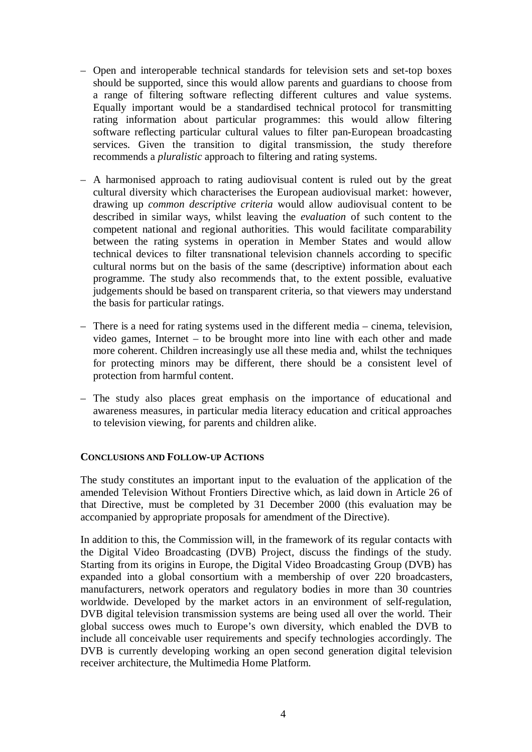- Open and interoperable technical standards for television sets and set-top boxes should be supported, since this would allow parents and guardians to choose from a range of filtering software reflecting different cultures and value systems. Equally important would be a standardised technical protocol for transmitting rating information about particular programmes: this would allow filtering software reflecting particular cultural values to filter pan-European broadcasting services. Given the transition to digital transmission, the study therefore recommends a *pluralistic* approach to filtering and rating systems.
- A harmonised approach to rating audiovisual content is ruled out by the great cultural diversity which characterises the European audiovisual market: however, drawing up *common descriptive criteria* would allow audiovisual content to be described in similar ways, whilst leaving the *evaluation* of such content to the competent national and regional authorities. This would facilitate comparability between the rating systems in operation in Member States and would allow technical devices to filter transnational television channels according to specific cultural norms but on the basis of the same (descriptive) information about each programme. The study also recommends that, to the extent possible, evaluative judgements should be based on transparent criteria, so that viewers may understand the basis for particular ratings.
- There is a need for rating systems used in the different media cinema, television, video games, Internet – to be brought more into line with each other and made more coherent. Children increasingly use all these media and, whilst the techniques for protecting minors may be different, there should be a consistent level of protection from harmful content.
- The study also places great emphasis on the importance of educational and awareness measures, in particular media literacy education and critical approaches to television viewing, for parents and children alike.

### **CONCLUSIONS AND FOLLOW-UP ACTIONS**

The study constitutes an important input to the evaluation of the application of the amended Television Without Frontiers Directive which, as laid down in Article 26 of that Directive, must be completed by 31 December 2000 (this evaluation may be accompanied by appropriate proposals for amendment of the Directive).

In addition to this, the Commission will, in the framework of its regular contacts with the Digital Video Broadcasting (DVB) Project, discuss the findings of the study. Starting from its origins in Europe, the Digital Video Broadcasting Group (DVB) has expanded into a global consortium with a membership of over 220 broadcasters, manufacturers, network operators and regulatory bodies in more than 30 countries worldwide. Developed by the market actors in an environment of self-regulation, DVB digital television transmission systems are being used all over the world. Their global success owes much to Europe's own diversity, which enabled the DVB to include all conceivable user requirements and specify technologies accordingly. The DVB is currently developing working an open second generation digital television receiver architecture, the Multimedia Home Platform.